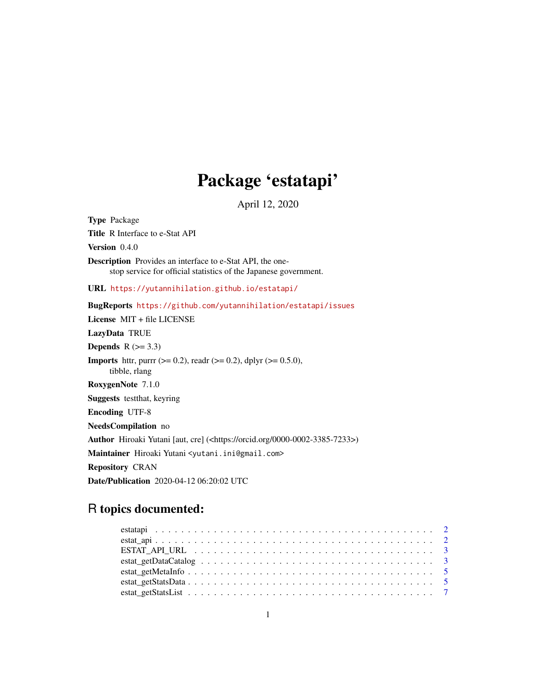## Package 'estatapi'

April 12, 2020

Type Package Title R Interface to e-Stat API Version 0.4.0 Description Provides an interface to e-Stat API, the onestop service for official statistics of the Japanese government. URL <https://yutannihilation.github.io/estatapi/> BugReports <https://github.com/yutannihilation/estatapi/issues> License MIT + file LICENSE LazyData TRUE Depends  $R$  ( $>= 3.3$ ) **Imports** httr, purrr ( $>= 0.2$ ), readr ( $>= 0.2$ ), dplyr ( $>= 0.5.0$ ), tibble, rlang RoxygenNote 7.1.0 Suggests testthat, keyring Encoding UTF-8 NeedsCompilation no Author Hiroaki Yutani [aut, cre] (<https://orcid.org/0000-0002-3385-7233>) Maintainer Hiroaki Yutani <yutani.ini@gmail.com> Repository CRAN Date/Publication 2020-04-12 06:20:02 UTC

### R topics documented: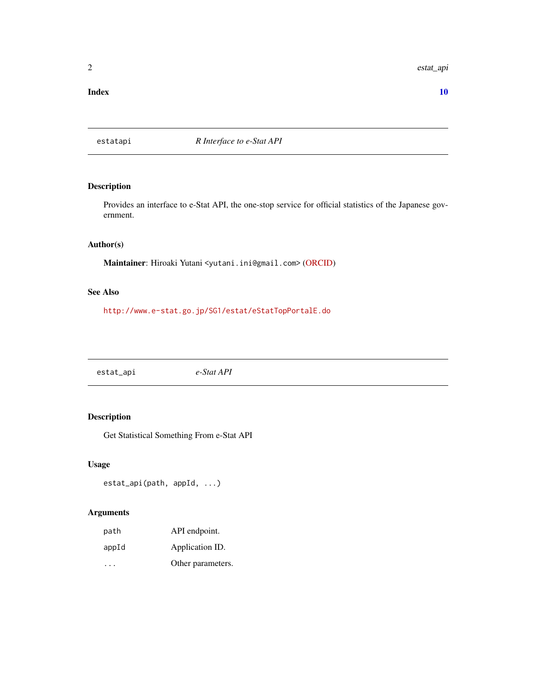<span id="page-1-0"></span>2 estat\_api

#### $\blacksquare$

estatapi *R Interface to e-Stat API*

#### Description

Provides an interface to e-Stat API, the one-stop service for official statistics of the Japanese government.

#### Author(s)

Maintainer: Hiroaki Yutani <yutani.ini@gmail.com> [\(ORCID\)](https://orcid.org/0000-0002-3385-7233)

#### See Also

<http://www.e-stat.go.jp/SG1/estat/eStatTopPortalE.do>

estat\_api *e-Stat API*

#### Description

Get Statistical Something From e-Stat API

#### Usage

```
estat_api(path, appId, ...)
```
#### Arguments

| path  | API endpoint.     |
|-------|-------------------|
| appId | Application ID.   |
|       | Other parameters. |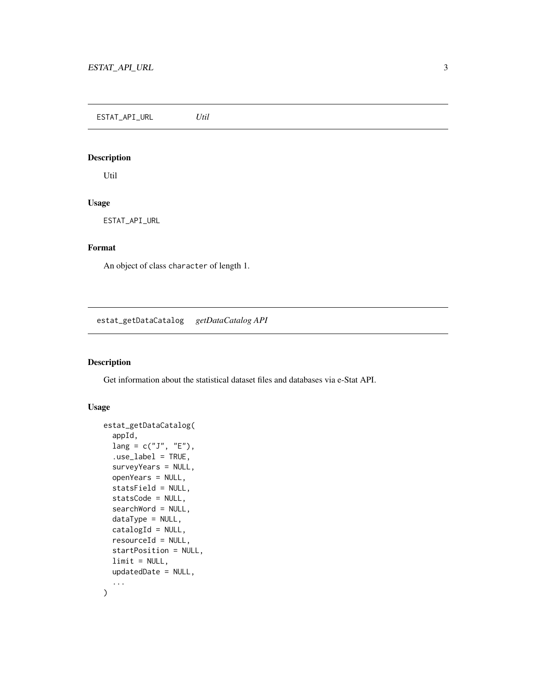<span id="page-2-0"></span>ESTAT\_API\_URL *Util*

#### Description

Util

#### Usage

ESTAT\_API\_URL

#### Format

An object of class character of length 1.

estat\_getDataCatalog *getDataCatalog API*

#### Description

Get information about the statistical dataset files and databases via e-Stat API.

#### Usage

```
estat_getDataCatalog(
  appId,
  lang = c("J", "E"),
  .use_label = TRUE,
  surveyYears = NULL,
  openYears = NULL,
  statsField = NULL,
  statsCode = NULL,
  searchWord = NULL,
  dataType = NULL,
  catalogId = NULL,
  resourceId = NULL,
  startPosition = NULL,
  limit = NULL,
  updatedDate = NULL,
  ...
)
```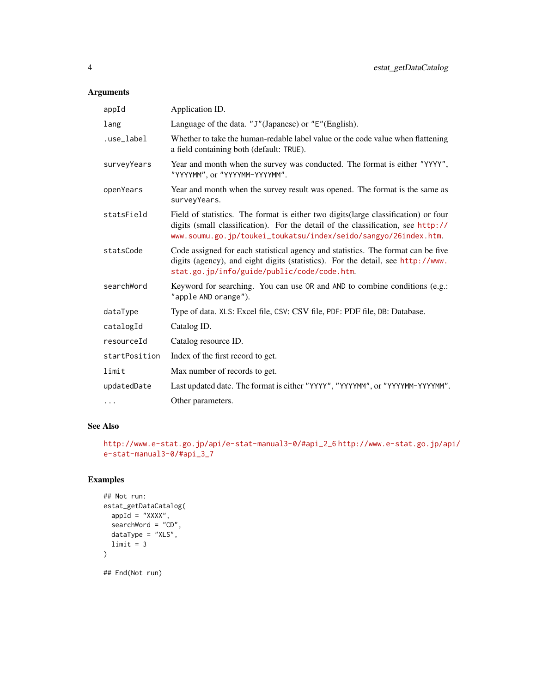#### Arguments

| appId         | Application ID.                                                                                                                                                                                                                            |
|---------------|--------------------------------------------------------------------------------------------------------------------------------------------------------------------------------------------------------------------------------------------|
| lang          | Language of the data. "J"(Japanese) or "E"(English).                                                                                                                                                                                       |
| .use_label    | Whether to take the human-redable label value or the code value when flattening<br>a field containing both (default: TRUE).                                                                                                                |
| surveyYears   | Year and month when the survey was conducted. The format is either "YYYY",<br>"YYYYMM", or "YYYYMM-YYYYMM".                                                                                                                                |
| openYears     | Year and month when the survey result was opened. The format is the same as<br>surveyYears.                                                                                                                                                |
| statsField    | Field of statistics. The format is either two digits (large classification) or four<br>digits (small classification). For the detail of the classification, see http://<br>www.soumu.go.jp/toukei_toukatsu/index/seido/sangyo/26index.htm. |
| statsCode     | Code assigned for each statistical agency and statistics. The format can be five<br>digits (agency), and eight digits (statistics). For the detail, see http://www.<br>stat.go.jp/info/guide/public/code/code.htm.                         |
| searchWord    | Keyword for searching. You can use OR and AND to combine conditions (e.g.:<br>"apple AND orange").                                                                                                                                         |
| dataType      | Type of data. XLS: Excel file, CSV: CSV file, PDF: PDF file, DB: Database.                                                                                                                                                                 |
| catalogId     | Catalog ID.                                                                                                                                                                                                                                |
| resourceId    | Catalog resource ID.                                                                                                                                                                                                                       |
| startPosition | Index of the first record to get.                                                                                                                                                                                                          |
| limit         | Max number of records to get.                                                                                                                                                                                                              |
| updatedDate   | Last updated date. The format is either "YYYY", "YYYYMM", or "YYYYMM-YYYYMM".                                                                                                                                                              |
| .             | Other parameters.                                                                                                                                                                                                                          |
|               |                                                                                                                                                                                                                                            |

#### See Also

```
http://www.e-stat.go.jp/api/e-stat-manual3-0/#api_2_6 http://www.e-stat.go.jp/api/
e-stat-manual3-0/#api_3_7
```
#### Examples

```
## Not run:
estat_getDataCatalog(
appId = "XXX",
 searchWord = "CD",
 dataType = "XLS",limit = 3)
## End(Not run)
```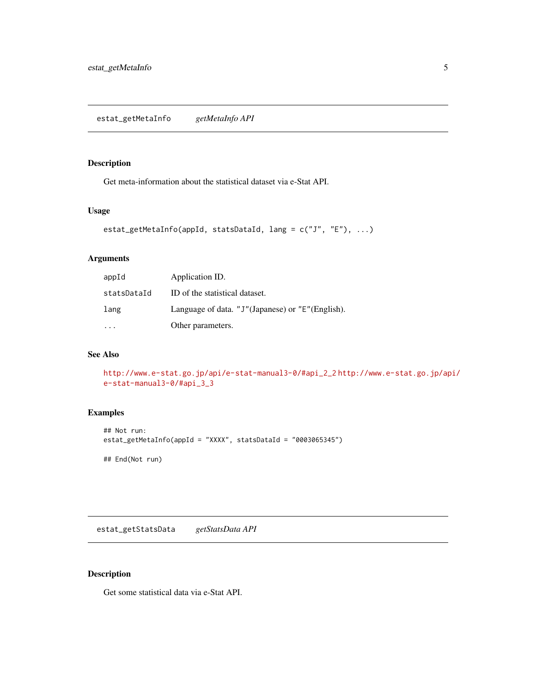#### <span id="page-4-0"></span>Description

Get meta-information about the statistical dataset via e-Stat API.

#### Usage

```
estat_getMetaInfo(appId, statsDataId, lang = c("J", "E"), ...)
```
#### Arguments

| appId       | Application ID.                                  |
|-------------|--------------------------------------------------|
| statsDataId | ID of the statistical dataset.                   |
| lang        | Language of data. "J"(Japanese) or "E"(English). |
|             | Other parameters.                                |

#### See Also

```
http://www.e-stat.go.jp/api/e-stat-manual3-0/#api_2_2 http://www.e-stat.go.jp/api/
e-stat-manual3-0/#api_3_3
```
#### Examples

```
## Not run:
estat_getMetaInfo(appId = "XXXX", statsDataId = "0003065345")
## End(Not run)
```
estat\_getStatsData *getStatsData API*

#### Description

Get some statistical data via e-Stat API.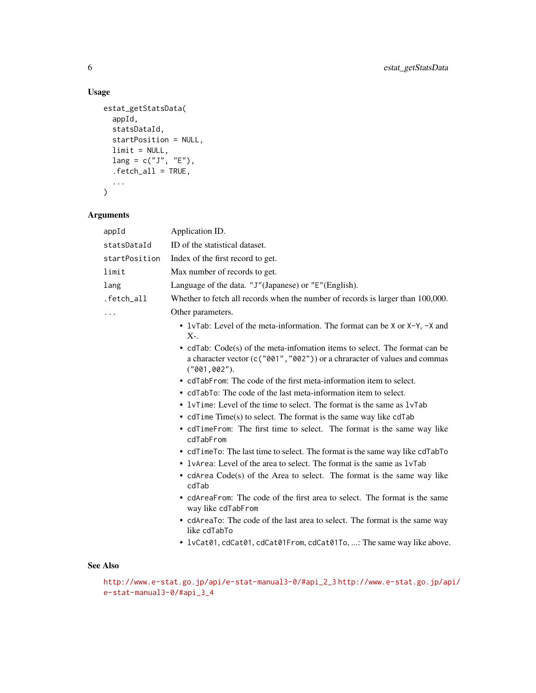#### Usage

```
estat_getStatsData(
  appId,
  statsDataId,
  startPosition = NULL,
  limit = NULL,
 lang = c("J", "E"),
  .fetch_all = TRUE,
  ...
\mathcal{L}
```
#### Arguments

| appId         | Application ID.                                                                                                                                                           |
|---------------|---------------------------------------------------------------------------------------------------------------------------------------------------------------------------|
| statsDataId   | ID of the statistical dataset.                                                                                                                                            |
| startPosition | Index of the first record to get.                                                                                                                                         |
| limit         | Max number of records to get.                                                                                                                                             |
| lang          | Language of the data. "J"(Japanese) or "E"(English).                                                                                                                      |
| .fetch_all    | Whether to fetch all records when the number of records is larger than 100,000.                                                                                           |
| $\ddots$      | Other parameters.                                                                                                                                                         |
|               | • 1vTab: Level of the meta-information. The format can be X or X-Y, -X and<br>$X_{\tau}$ .                                                                                |
|               | • cdTab: Code(s) of the meta-information items to select. The format can be<br>a character vector (c("001", "002")) or a chraracter of values and commas<br>("001, 002"). |
|               | • cdTabFrom: The code of the first meta-information item to select.                                                                                                       |
|               | • cdTabTo: The code of the last meta-information item to select.                                                                                                          |
|               | • $l$ $\vee$ Time: Level of the time to select. The format is the same as $l$ $\vee$ Tab                                                                                  |
|               | • cdTime Time(s) to select. The format is the same way like cdTab                                                                                                         |
|               | • cdTimeFrom: The first time to select. The format is the same way like<br>cdTabFrom                                                                                      |
|               | • cdTimeTo: The last time to select. The format is the same way like cdTabTo                                                                                              |
|               | • 1 vArea: Level of the area to select. The format is the same as 1 v Tab                                                                                                 |
|               | • cdArea Code(s) of the Area to select. The format is the same way like<br>cdTab                                                                                          |
|               | • cdAreaFrom: The code of the first area to select. The format is the same<br>way like cdTabFrom                                                                          |
|               | • cdAreaTo: The code of the last area to select. The format is the same way<br>like cdTabTo                                                                               |
|               | • lvCat01, cdCat01, cdCat01From, cdCat01To, : The same way like above.                                                                                                    |

#### See Also

[http://www.e-stat.go.jp/api/e-stat-manual3-0/#api\\_2\\_3](http://www.e-stat.go.jp/api/e-stat-manual3-0/#api_2_3) [http://www.e-stat.go.jp/ap](http://www.e-stat.go.jp/api/e-stat-manual3-0/#api_3_4)i/ [e-stat-manual3-0/#api\\_3\\_4](http://www.e-stat.go.jp/api/e-stat-manual3-0/#api_3_4)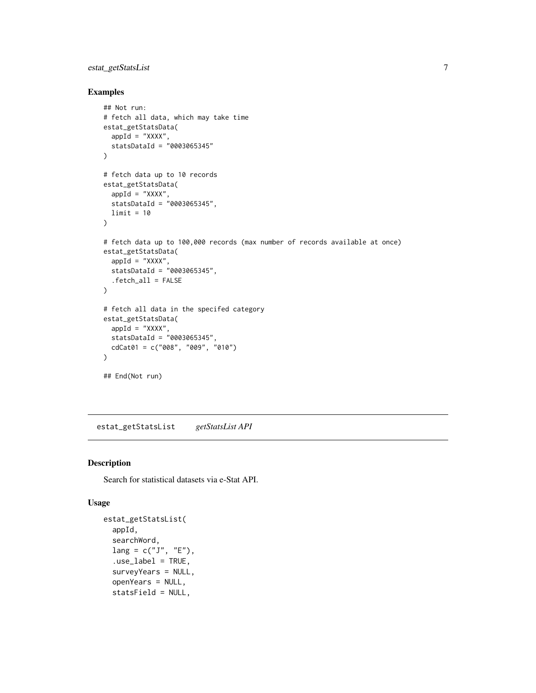#### <span id="page-6-0"></span>estat\_getStatsList 7

#### Examples

```
## Not run:
# fetch all data, which may take time
estat_getStatsData(
  appId = "XXX",
  statsDataId = "0003065345"
\lambda# fetch data up to 10 records
estat_getStatsData(
  appId = "XXXX",statsDataId = "0003065345",
 limit = 10
\lambda# fetch data up to 100,000 records (max number of records available at once)
estat_getStatsData(
  appId = "XXX",
  statshatal = 70003065345",
  .fetch_all = FALSE
)
# fetch all data in the specifed category
estat_getStatsData(
  appId = "XXXX",statsDataId = "0003065345",
  cdCat01 = c("008", "009", "010")
)
## End(Not run)
```
estat\_getStatsList *getStatsList API*

#### Description

Search for statistical datasets via e-Stat API.

#### Usage

```
estat_getStatsList(
  appId,
  searchWord,
 lang = c("J", "E"),
  use\_label = TRUE,
  surveyYears = NULL,
  openYears = NULL,
  statsField = NULL,
```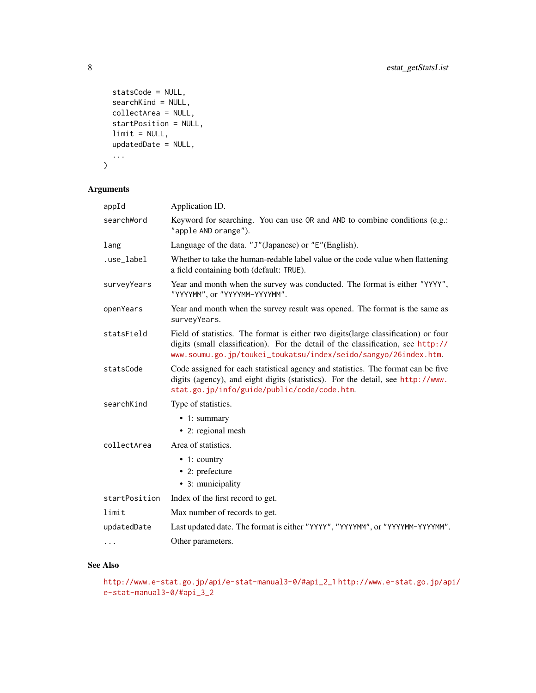```
statsCode = NULL,
  searchKind = NULL,
  collectArea = NULL,
  startPosition = NULL,
  limit = NULL,
  updatedDate = NULL,
  ...
\mathcal{L}
```
#### Arguments

| appId         | Application ID.                                                                                                                                                                                                                            |
|---------------|--------------------------------------------------------------------------------------------------------------------------------------------------------------------------------------------------------------------------------------------|
| searchWord    | Keyword for searching. You can use OR and AND to combine conditions (e.g.:<br>"apple AND orange").                                                                                                                                         |
| lang          | Language of the data. "J"(Japanese) or "E"(English).                                                                                                                                                                                       |
| .use_label    | Whether to take the human-redable label value or the code value when flattening<br>a field containing both (default: TRUE).                                                                                                                |
| surveyYears   | Year and month when the survey was conducted. The format is either "YYYY",<br>"YYYYMM", or "YYYYMM-YYYYMM".                                                                                                                                |
| openYears     | Year and month when the survey result was opened. The format is the same as<br>surveyYears.                                                                                                                                                |
| statsField    | Field of statistics. The format is either two digits (large classification) or four<br>digits (small classification). For the detail of the classification, see http://<br>www.soumu.go.jp/toukei_toukatsu/index/seido/sangyo/26index.htm. |
| statsCode     | Code assigned for each statistical agency and statistics. The format can be five<br>digits (agency), and eight digits (statistics). For the detail, see http://www.<br>stat.go.jp/info/guide/public/code/code.htm.                         |
| searchKind    | Type of statistics.                                                                                                                                                                                                                        |
|               | • 1: summary                                                                                                                                                                                                                               |
|               | • 2: regional mesh                                                                                                                                                                                                                         |
| collectArea   | Area of statistics.                                                                                                                                                                                                                        |
|               | $\bullet$ 1: country                                                                                                                                                                                                                       |
|               | • 2: prefecture                                                                                                                                                                                                                            |
|               | • 3: municipality                                                                                                                                                                                                                          |
| startPosition | Index of the first record to get.                                                                                                                                                                                                          |
| limit         | Max number of records to get.                                                                                                                                                                                                              |
| updatedDate   | Last updated date. The format is either "YYYY", "YYYYMM", or "YYYYMM-YYYYMM".                                                                                                                                                              |
|               | Other parameters.                                                                                                                                                                                                                          |

#### See Also

```
http://www.e-stat.go.jp/api/e-stat-manual3-0/#api_2_1 http://www.e-stat.go.jp/api/
e-stat-manual3-0/#api_3_2
```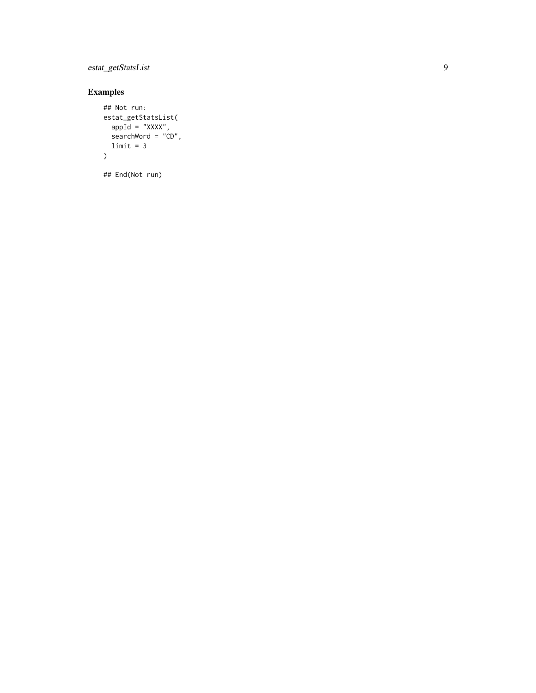estat\_getStatsList

#### Examples

```
## Not run:
estat_getStatsList(
  appId = "XXX",searchWord = "CD",limit = 3\lambda
```
## End(Not run)